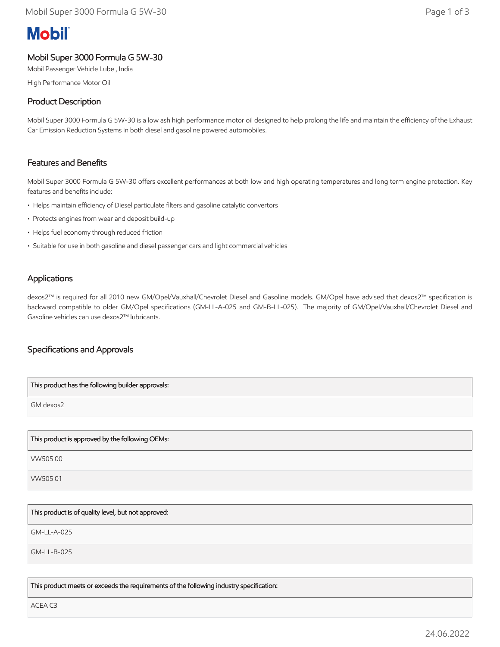# **Mobil**

# Mobil Super 3000 Formula G 5W-30

Mobil Passenger Vehicle Lube , India

High Performance Motor Oil

# Product Description

Mobil Super 3000 Formula G 5W-30 is a low ash high performance motor oil designed to help prolong the life and maintain the efficiency of the Exhaust Car Emission Reduction Systems in both diesel and gasoline powered automobiles.

## Features and Benefits

Mobil Super 3000 Formula G 5W-30 offers excellent performances at both low and high operating temperatures and long term engine protection. Key features and benefits include:

- Helps maintain efficiency of Diesel particulate filters and gasoline catalytic convertors
- Protects engines from wear and deposit build-up
- Helps fuel economy through reduced friction
- Suitable for use in both gasoline and diesel passenger cars and light commercial vehicles

#### **Applications**

dexos2™ is required for all 2010 new GM/Opel/Vauxhall/Chevrolet Diesel and Gasoline models. GM/Opel have advised that dexos2™ specification is backward compatible to older GM/Opel specifications (GM-LL-A-025 and GM-B-LL-025). The majority of GM/Opel/Vauxhall/Chevrolet Diesel and Gasoline vehicles can use dexos2™ lubricants.

## Specifications and Approvals

| This product has the following builder approvals: |
|---------------------------------------------------|
| GM dexos2                                         |
|                                                   |
| This product is approved by the following OEMs:   |

VW505 00

VW505 01

This product is of quality level, but not approved:

GM-LL-A-025

GM-LL-B-025

This product meets or exceeds the requirements of the following industry specification:

ACEA C3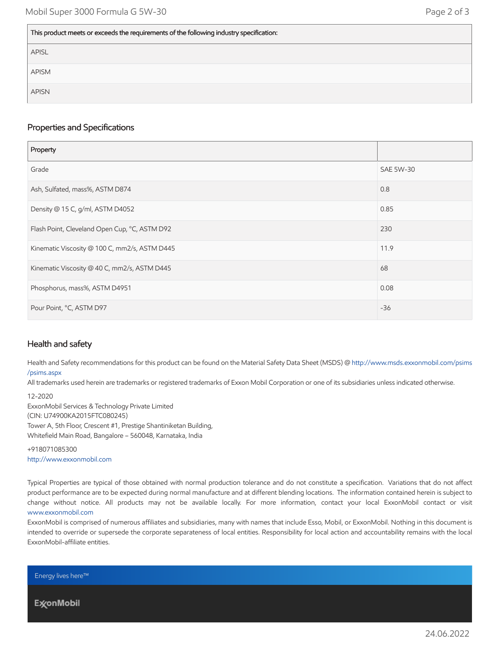#### This product meets or exceeds the requirements of the following industry specification:

| APISL |
|-------|
| APISM |
| APISN |

#### Properties and Specifications

| Property                                      |                  |
|-----------------------------------------------|------------------|
| Grade                                         | <b>SAE 5W-30</b> |
| Ash, Sulfated, mass%, ASTM D874               | 0.8              |
| Density @ 15 C, g/ml, ASTM D4052              | 0.85             |
| Flash Point, Cleveland Open Cup, °C, ASTM D92 | 230              |
| Kinematic Viscosity @ 100 C, mm2/s, ASTM D445 | 11.9             |
| Kinematic Viscosity @ 40 C, mm2/s, ASTM D445  | 68               |
| Phosphorus, mass%, ASTM D4951                 | 0.08             |
| Pour Point, °C, ASTM D97                      | $-36$            |

## Health and safety

Health and Safety recommendations for this product can be found on the Material Safety Data Sheet (MSDS) @ [http://www.msds.exxonmobil.com/psims](http://www.msds.exxonmobil.com/psims/psims.aspx) /psims.aspx

All trademarks used herein are trademarks or registered trademarks of Exxon Mobil Corporation or one of its subsidiaries unless indicated otherwise.

12-2020 ExxonMobil Services & Technology Private Limited (CIN: U74900KA2015FTC080245) Tower A, 5th Floor, Crescent #1, Prestige Shantiniketan Building, Whitefield Main Road, Bangalore – 560048, Karnataka, India

+918071085300 [http://www.exxonmobil.com](http://www.exxonmobil.com/)

Typical Properties are typical of those obtained with normal production tolerance and do not constitute a specification. Variations that do not affect product performance are to be expected during normal manufacture and at different blending locations. The information contained herein is subject to change without notice. All products may not be available locally. For more information, contact your local ExxonMobil contact or visit [www.exxonmobil.com](http://www.exxonmobil.com/)

ExxonMobil is comprised of numerous affiliates and subsidiaries, many with names that include Esso, Mobil, or ExxonMobil. Nothing in this document is intended to override or supersede the corporate separateness of local entities. Responsibility for local action and accountability remains with the local ExxonMobil-affiliate entities.

Energy lives here™

**ExconMobil**